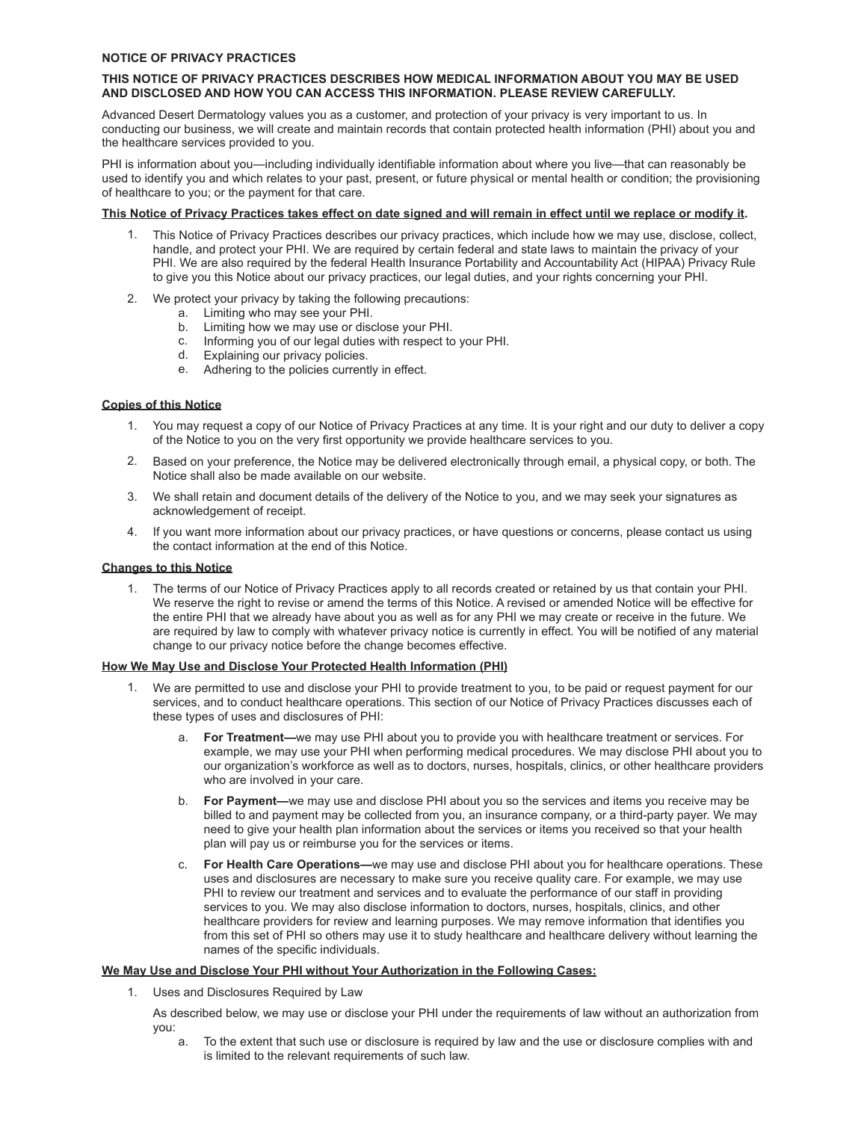#### **NOTICE OF PRIVACY PRACTICES**

## **THIS NOTICE OF PRIVACY PRACTICES DESCRIBES HOW MEDICAL INFORMATION ABOUT YOU MAY BE USED AND DISCLOSED AND HOW YOU CAN ACCESS THIS INFORMATION. PLEASE REVIEW CAREFULLY.**

Advanced Desert Dermatology values you as a customer, and protection of your privacy is very important to us. In conducting our business, we will create and maintain records that contain protected health information (PHI) about you and the healthcare services provided to you.

PHI is information about you—including individually identifiable information about where you live—that can reasonably be used to identify you and which relates to your past, present, or future physical or mental health or condition; the provisioning of healthcare to you; or the payment for that care.

# **This Notice of Privacy Practices takes effect on date signed and will remain in effect until we replace or modify it.**

- 1. This Notice of Privacy Practices describes our privacy practices, which include how we may use, disclose, collect, handle, and protect your PHI. We are required by certain federal and state laws to maintain the privacy of your PHI. We are also required by the federal Health Insurance Portability and Accountability Act (HIPAA) Privacy Rule to give you this Notice about our privacy practices, our legal duties, and your rights concerning your PHI.
- 2. We protect your privacy by taking the following precautions:
	- a. Limiting who may see your PHI.
	- b. Limiting how we may use or disclose your PHI.
	- c. Informing you of our legal duties with respect to your PHI.
	- d. Explaining our privacy policies.
	- e. Adhering to the policies currently in effect.

# **Copies of this Notice**

- 1. You may request a copy of our Notice of Privacy Practices at any time. It is your right and our duty to deliver a copy of the Notice to you on the very first opportunity we provide healthcare services to you.
- 2. Based on your preference, the Notice may be delivered electronically through email, a physical copy, or both. The Notice shall also be made available on our website.
- 3. We shall retain and document details of the delivery of the Notice to you, and we may seek your signatures as acknowledgement of receipt.
- 4. If you want more information about our privacy practices, or have questions or concerns, please contact us using the contact information at the end of this Notice.

#### **Changes to this Notice**

1. The terms of our Notice of Privacy Practices apply to all records created or retained by us that contain your PHI. We reserve the right to revise or amend the terms of this Notice. A revised or amended Notice will be effective for the entire PHI that we already have about you as well as for any PHI we may create or receive in the future. We are required by law to comply with whatever privacy notice is currently in effect. You will be notified of any material change to our privacy notice before the change becomes effective.

## **How We May Use and Disclose Your Protected Health Information (PHI)**

- 1. We are permitted to use and disclose your PHI to provide treatment to you, to be paid or request payment for our services, and to conduct healthcare operations. This section of our Notice of Privacy Practices discusses each of these types of uses and disclosures of PHI:
	- a. **For Treatment—**we may use PHI about you to provide you with healthcare treatment or services. For example, we may use your PHI when performing medical procedures. We may disclose PHI about you to our organization's workforce as well as to doctors, nurses, hospitals, clinics, or other healthcare providers who are involved in your care.
	- b. **For Payment—**we may use and disclose PHI about you so the services and items you receive may be billed to and payment may be collected from you, an insurance company, or a third-party payer. We may need to give your health plan information about the services or items you received so that your health plan will pay us or reimburse you for the services or items.
	- c. **For Health Care Operations—**we may use and disclose PHI about you for healthcare operations. These uses and disclosures are necessary to make sure you receive quality care. For example, we may use PHI to review our treatment and services and to evaluate the performance of our staff in providing services to you. We may also disclose information to doctors, nurses, hospitals, clinics, and other healthcare providers for review and learning purposes. We may remove information that identifies you from this set of PHI so others may use it to study healthcare and healthcare delivery without learning the names of the specific individuals.

#### **We May Use and Disclose Your PHI without Your Authorization in the Following Cases:**

1. Uses and Disclosures Required by Law

As described below, we may use or disclose your PHI under the requirements of law without an authorization from you:

a. To the extent that such use or disclosure is required by law and the use or disclosure complies with and is limited to the relevant requirements of such law.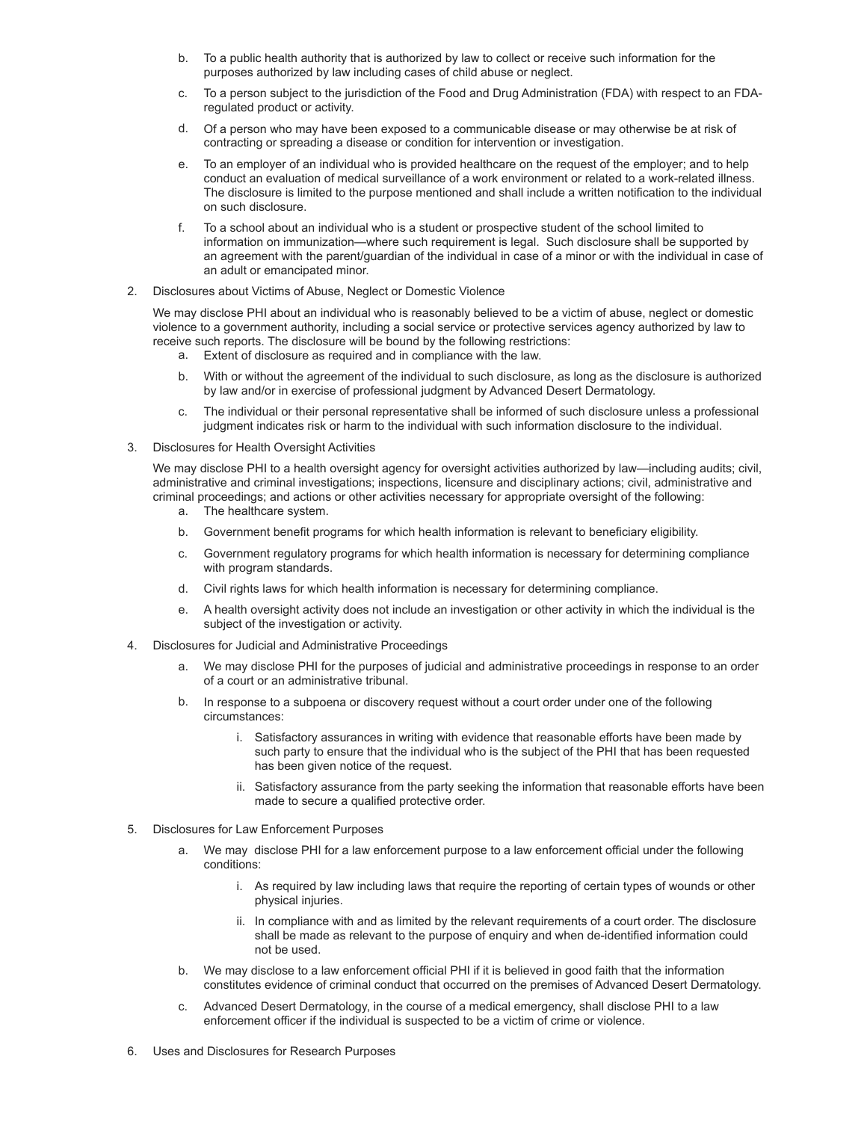- b. To a public health authority that is authorized by law to collect or receive such information for the purposes authorized by law including cases of child abuse or neglect.
- c. To a person subject to the jurisdiction of the Food and Drug Administration (FDA) with respect to an FDAregulated product or activity.
- d. Of a person who may have been exposed to a communicable disease or may otherwise be at risk of contracting or spreading a disease or condition for intervention or investigation.
- e. To an employer of an individual who is provided healthcare on the request of the employer; and to help conduct an evaluation of medical surveillance of a work environment or related to a work-related illness. The disclosure is limited to the purpose mentioned and shall include a written notification to the individual on such disclosure.
- f. To a school about an individual who is a student or prospective student of the school limited to information on immunization—where such requirement is legal. Such disclosure shall be supported by an agreement with the parent/guardian of the individual in case of a minor or with the individual in case of an adult or emancipated minor.
- 2. Disclosures about Victims of Abuse, Neglect or Domestic Violence

We may disclose PHI about an individual who is reasonably believed to be a victim of abuse, neglect or domestic violence to a government authority, including a social service or protective services agency authorized by law to receive such reports. The disclosure will be bound by the following restrictions:

- a. Extent of disclosure as required and in compliance with the law.
- b. With or without the agreement of the individual to such disclosure, as long as the disclosure is authorized by law and/or in exercise of professional judgment by Advanced Desert Dermatology.
- c. The individual or their personal representative shall be informed of such disclosure unless a professional judgment indicates risk or harm to the individual with such information disclosure to the individual.
- 3. Disclosures for Health Oversight Activities

We may disclose PHI to a health oversight agency for oversight activities authorized by law—including audits; civil, administrative and criminal investigations; inspections, licensure and disciplinary actions; civil, administrative and criminal proceedings; and actions or other activities necessary for appropriate oversight of the following:

- a. The healthcare system.
- b. Government benefit programs for which health information is relevant to beneficiary eligibility.
- c. Government regulatory programs for which health information is necessary for determining compliance with program standards.
- d. Civil rights laws for which health information is necessary for determining compliance.
- e. A health oversight activity does not include an investigation or other activity in which the individual is the subject of the investigation or activity.
- 4. Disclosures for Judicial and Administrative Proceedings
	- a. We may disclose PHI for the purposes of judicial and administrative proceedings in response to an order of a court or an administrative tribunal.
	- b. In response to a subpoena or discovery request without a court order under one of the following circumstances:
		- i. Satisfactory assurances in writing with evidence that reasonable efforts have been made by such party to ensure that the individual who is the subject of the PHI that has been requested has been given notice of the request.
		- ii. Satisfactory assurance from the party seeking the information that reasonable efforts have been made to secure a qualified protective order.
- 5. Disclosures for Law Enforcement Purposes
	- a. We may disclose PHI for a law enforcement purpose to a law enforcement official under the following conditions:
		- i. As required by law including laws that require the reporting of certain types of wounds or other physical injuries.
		- ii. In compliance with and as limited by the relevant requirements of a court order. The disclosure shall be made as relevant to the purpose of enquiry and when de-identified information could not be used.
	- b. We may disclose to a law enforcement official PHI if it is believed in good faith that the information constitutes evidence of criminal conduct that occurred on the premises of Advanced Desert Dermatology.
	- c. Advanced Desert Dermatology, in the course of a medical emergency, shall disclose PHI to a law enforcement officer if the individual is suspected to be a victim of crime or violence.
- 6. Uses and Disclosures for Research Purposes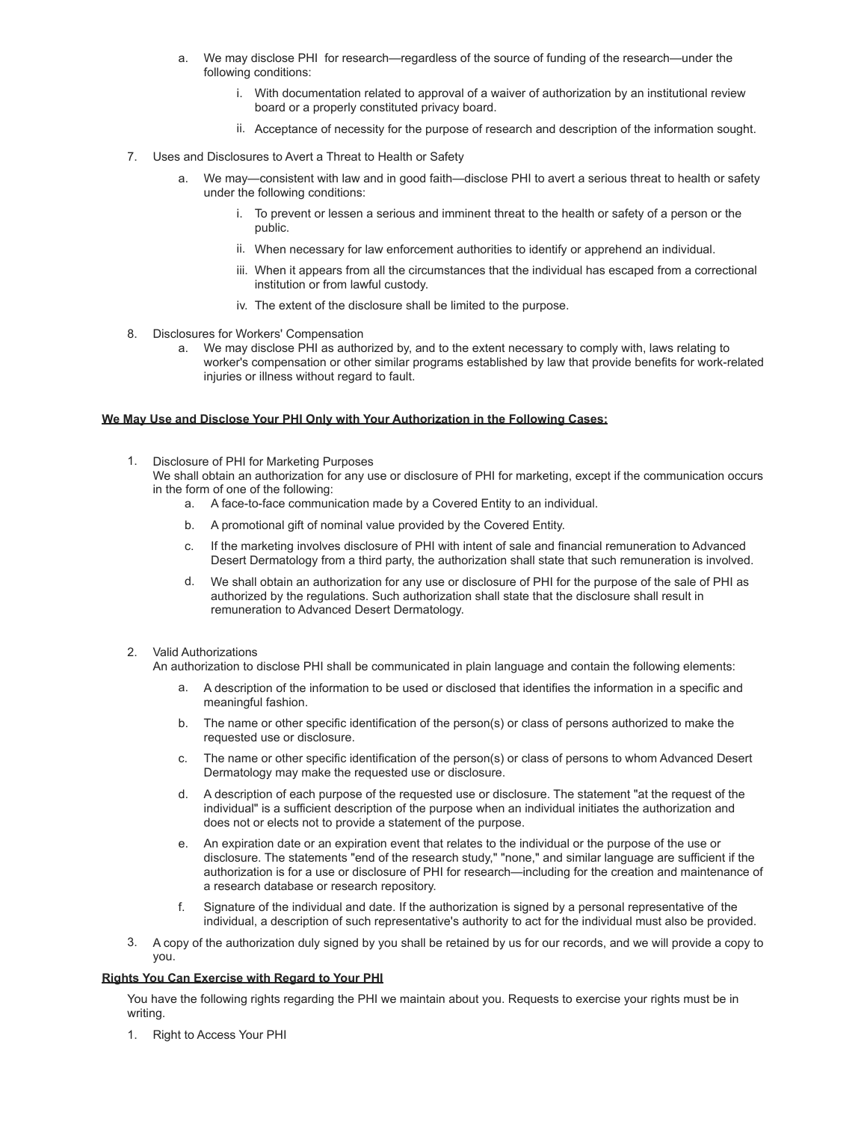- a. We may disclose PHI for research—regardless of the source of funding of the research—under the following conditions:
	- i. With documentation related to approval of a waiver of authorization by an institutional review board or a properly constituted privacy board.
	- ii. Acceptance of necessity for the purpose of research and description of the information sought.
- 7. Uses and Disclosures to Avert a Threat to Health or Safety
	- a. We may—consistent with law and in good faith—disclose PHI to avert a serious threat to health or safety under the following conditions:
		- i. To prevent or lessen a serious and imminent threat to the health or safety of a person or the public.
		- ii. When necessary for law enforcement authorities to identify or apprehend an individual.
		- iii. When it appears from all the circumstances that the individual has escaped from a correctional institution or from lawful custody.
		- iv. The extent of the disclosure shall be limited to the purpose.
- 8. Disclosures for Workers' Compensation
	- a. We may disclose PHI as authorized by, and to the extent necessary to comply with, laws relating to worker's compensation or other similar programs established by law that provide benefits for work-related injuries or illness without regard to fault.

# **We May Use and Disclose Your PHI Only with Your Authorization in the Following Cases:**

- 1. Disclosure of PHI for Marketing Purposes We shall obtain an authorization for any use or disclosure of PHI for marketing, except if the communication occurs in the form of one of the following:
	- a. A face-to-face communication made by a Covered Entity to an individual.
	- b. A promotional gift of nominal value provided by the Covered Entity.
	- c. If the marketing involves disclosure of PHI with intent of sale and financial remuneration to Advanced Desert Dermatology from a third party, the authorization shall state that such remuneration is involved.
	- d. We shall obtain an authorization for any use or disclosure of PHI for the purpose of the sale of PHI as authorized by the regulations. Such authorization shall state that the disclosure shall result in remuneration to Advanced Desert Dermatology.

#### 2. Valid Authorizations

An authorization to disclose PHI shall be communicated in plain language and contain the following elements:

- a. A description of the information to be used or disclosed that identifies the information in a specific and meaningful fashion.
- b. The name or other specific identification of the person(s) or class of persons authorized to make the requested use or disclosure.
- c. The name or other specific identification of the person(s) or class of persons to whom Advanced Desert Dermatology may make the requested use or disclosure.
- d. A description of each purpose of the requested use or disclosure. The statement "at the request of the individual" is a sufficient description of the purpose when an individual initiates the authorization and does not or elects not to provide a statement of the purpose.
- e. An expiration date or an expiration event that relates to the individual or the purpose of the use or disclosure. The statements "end of the research study," "none," and similar language are sufficient if the authorization is for a use or disclosure of PHI for research—including for the creation and maintenance of a research database or research repository.
- f. Signature of the individual and date. If the authorization is signed by a personal representative of the individual, a description of such representative's authority to act for the individual must also be provided.
- 3. A copy of the authorization duly signed by you shall be retained by us for our records, and we will provide a copy to you.

# **Rights You Can Exercise with Regard to Your PHI**

You have the following rights regarding the PHI we maintain about you. Requests to exercise your rights must be in writing.

1. Right to Access Your PHI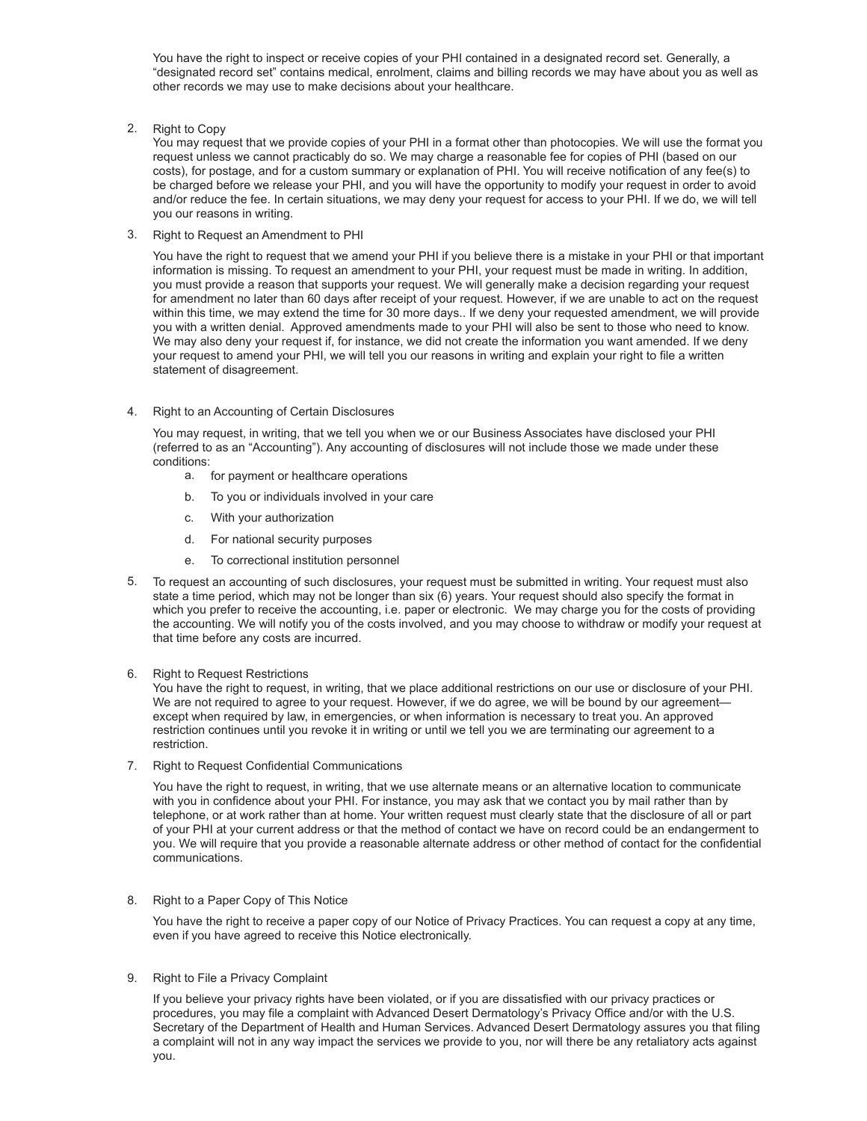You have the right to inspect or receive copies of your PHI contained in a designated record set. Generally, a "designated record set" contains medical, enrolment, claims and billing records we may have about you as well as other records we may use to make decisions about your healthcare.

2. Right to Copy

You may request that we provide copies of your PHI in a format other than photocopies. We will use the format you request unless we cannot practicably do so. We may charge a reasonable fee for copies of PHI (based on our costs), for postage, and for a custom summary or explanation of PHI. You will receive notification of any fee(s) to be charged before we release your PHI, and you will have the opportunity to modify your request in order to avoid and/or reduce the fee. In certain situations, we may deny your request for access to your PHI. If we do, we will tell you our reasons in writing.

3. Right to Request an Amendment to PHI

You have the right to request that we amend your PHI if you believe there is a mistake in your PHI or that important information is missing. To request an amendment to your PHI, your request must be made in writing. In addition, you must provide a reason that supports your request. We will generally make a decision regarding your request for amendment no later than 60 days after receipt of your request. However, if we are unable to act on the request within this time, we may extend the time for 30 more days.. If we deny your requested amendment, we will provide you with a written denial. Approved amendments made to your PHI will also be sent to those who need to know. We may also deny your request if, for instance, we did not create the information you want amended. If we deny your request to amend your PHI, we will tell you our reasons in writing and explain your right to file a written statement of disagreement.

4. Right to an Accounting of Certain Disclosures

You may request, in writing, that we tell you when we or our Business Associates have disclosed your PHI (referred to as an "Accounting"). Any accounting of disclosures will not include those we made under these conditions:

- a. for payment or healthcare operations
- b. To you or individuals involved in your care
- c. With your authorization
- d. For national security purposes
- e. To correctional institution personnel
- 5. To request an accounting of such disclosures, your request must be submitted in writing. Your request must also state a time period, which may not be longer than six (6) years. Your request should also specify the format in which you prefer to receive the accounting, i.e. paper or electronic. We may charge you for the costs of providing the accounting. We will notify you of the costs involved, and you may choose to withdraw or modify your request at that time before any costs are incurred.
- 6. Right to Request Restrictions

You have the right to request, in writing, that we place additional restrictions on our use or disclosure of your PHI. We are not required to agree to your request. However, if we do agree, we will be bound by our agreement except when required by law, in emergencies, or when information is necessary to treat you. An approved restriction continues until you revoke it in writing or until we tell you we are terminating our agreement to a restriction.

7. Right to Request Confidential Communications

You have the right to request, in writing, that we use alternate means or an alternative location to communicate with you in confidence about your PHI. For instance, you may ask that we contact you by mail rather than by telephone, or at work rather than at home. Your written request must clearly state that the disclosure of all or part of your PHI at your current address or that the method of contact we have on record could be an endangerment to you. We will require that you provide a reasonable alternate address or other method of contact for the confidential communications.

8. Right to a Paper Copy of This Notice

You have the right to receive a paper copy of our Notice of Privacy Practices. You can request a copy at any time, even if you have agreed to receive this Notice electronically.

#### 9. Right to File a Privacy Complaint

If you believe your privacy rights have been violated, or if you are dissatisfied with our privacy practices or procedures, you may file a complaint with Advanced Desert Dermatology's Privacy Office and/or with the U.S. Secretary of the Department of Health and Human Services. Advanced Desert Dermatology assures you that filing a complaint will not in any way impact the services we provide to you, nor will there be any retaliatory acts against you.